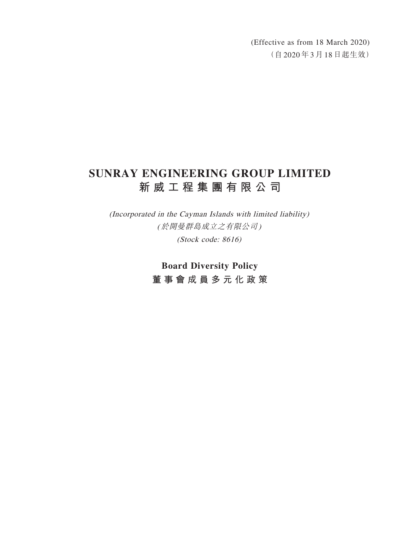(Effective as from 18 March 2020) (自2020年3月18日起生效)

# **SUNRAY ENGINEERING GROUP LIMITED 新威工程集團有限公司**

(Incorporated in the Cayman Islands with limited liability) (於開曼群島成立之有限公司) (Stock code: 8616)

> **Board Diversity Policy 董事會成員多元化政策**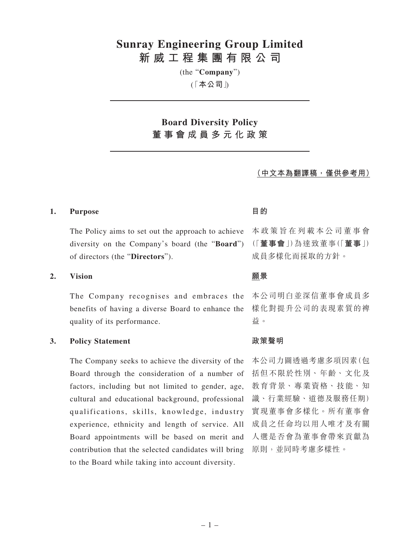## **Sunray Engineering Group Limited 新威工程集團有限公司**

(the "**Company**")

「( **本公司**」)

## **Board Diversity Policy 董事會成員多元化政策**

### **(中文本為翻譯稿,僅供參考用)**

### **1. Purpose 目的**

The Policy aims to set out the approach to achieve diversity on the Company's board (the "**Board**") of directors (the "**Directors**").

### **2. Vision 願景**

The Company recognises and embraces the benefits of having a diverse Board to enhance the quality of its performance.

### **3. Policy Statement 政策聲明**

The Company seeks to achieve the diversity of the Board through the consideration of a number of factors, including but not limited to gender, age, cultural and educational background, professional qualifications, skills, knowledge, industry experience, ethnicity and length of service. All Board appointments will be based on merit and contribution that the selected candidates will bring to the Board while taking into account diversity.

本政策旨在列載本公司董事會 (「**董事會**」)為達致董事(「**董事**」) 成員多樣化而採取的方針。

本公司明白並深信董事會成員多 樣化對提升公司的表現素質的裨 益。

本公司力圖透過考慮多項因素(包 括但不限於性別、年齡、文化及 教育背景、專業資格、技能、知 識、行業經驗、道德及服務任期) 實現董事會多樣化。所有董事會 成員之任命均以用人唯才及有關 人選是否會為董事會帶來貢獻為 原則,並同時考慮多樣性。